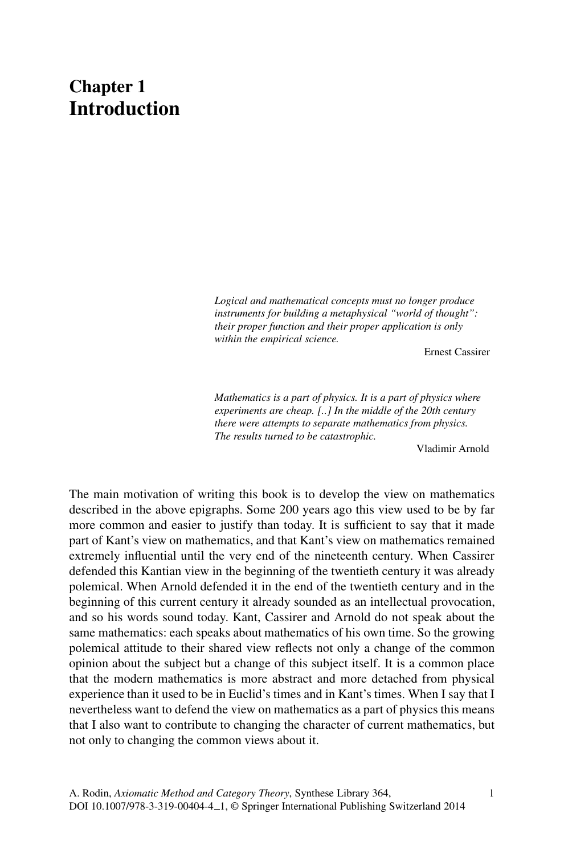## **Chapter 1 Introduction**

*Logical and mathematical concepts must no longer produce instruments for building a metaphysical "world of thought": their proper function and their proper application is only within the empirical science.*

Ernest Cassirer

*Mathematics is a part of physics. It is a part of physics where experiments are cheap. [..] In the middle of the 20th century there were attempts to separate mathematics from physics. The results turned to be catastrophic.*

Vladimir Arnold

The main motivation of writing this book is to develop the view on mathematics described in the above epigraphs. Some 200 years ago this view used to be by far more common and easier to justify than today. It is sufficient to say that it made part of Kant's view on mathematics, and that Kant's view on mathematics remained extremely influential until the very end of the nineteenth century. When Cassirer defended this Kantian view in the beginning of the twentieth century it was already polemical. When Arnold defended it in the end of the twentieth century and in the beginning of this current century it already sounded as an intellectual provocation, and so his words sound today. Kant, Cassirer and Arnold do not speak about the same mathematics: each speaks about mathematics of his own time. So the growing polemical attitude to their shared view reflects not only a change of the common opinion about the subject but a change of this subject itself. It is a common place that the modern mathematics is more abstract and more detached from physical experience than it used to be in Euclid's times and in Kant's times. When I say that I nevertheless want to defend the view on mathematics as a part of physics this means that I also want to contribute to changing the character of current mathematics, but not only to changing the common views about it.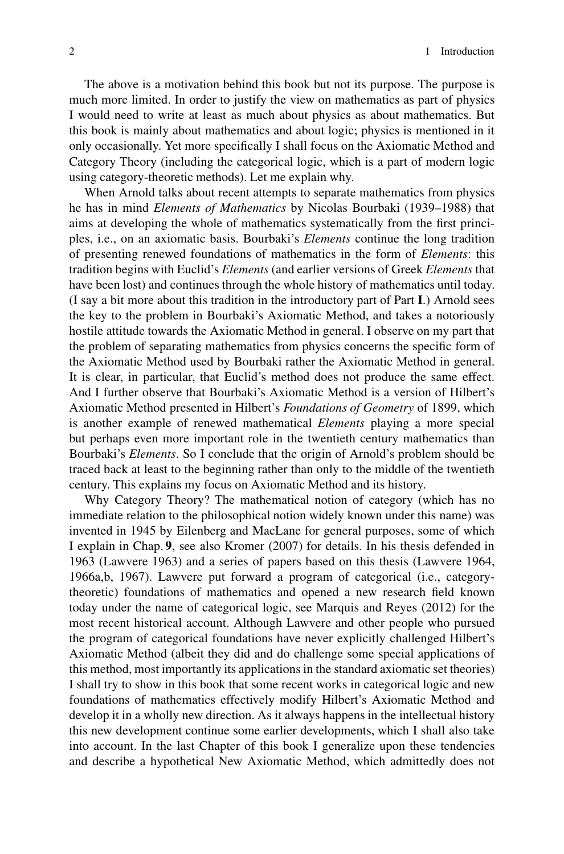The above is a motivation behind this book but not its purpose. The purpose is much more limited. In order to justify the view on mathematics as part of physics I would need to write at least as much about physics as about mathematics. But this book is mainly about mathematics and about logic; physics is mentioned in it only occasionally. Yet more specifically I shall focus on the Axiomatic Method and Category Theory (including the categorical logic, which is a part of modern logic using category-theoretic methods). Let me explain why.

When Arnold talks about recent attempts to separate mathematics from physics he has in mind *Elements of Mathematics* by Nicolas Bourbaki (1939–1988) that aims at developing the whole of mathematics systematically from the first principles, i.e., on an axiomatic basis. Bourbaki's *Elements* continue the long tradition of presenting renewed foundations of mathematics in the form of *Elements*: this tradition begins with Euclid's *Elements* (and earlier versions of Greek *Elements* that have been lost) and continues through the whole history of mathematics until today. (I say a bit more about this tradition in the introductory part of Part **I**.) Arnold sees the key to the problem in Bourbaki's Axiomatic Method, and takes a notoriously hostile attitude towards the Axiomatic Method in general. I observe on my part that the problem of separating mathematics from physics concerns the specific form of the Axiomatic Method used by Bourbaki rather the Axiomatic Method in general. It is clear, in particular, that Euclid's method does not produce the same effect. And I further observe that Bourbaki's Axiomatic Method is a version of Hilbert's Axiomatic Method presented in Hilbert's *Foundations of Geometry* of 1899, which is another example of renewed mathematical *Elements* playing a more special but perhaps even more important role in the twentieth century mathematics than Bourbaki's *Elements*. So I conclude that the origin of Arnold's problem should be traced back at least to the beginning rather than only to the middle of the twentieth century. This explains my focus on Axiomatic Method and its history.

Why Category Theory? The mathematical notion of category (which has no immediate relation to the philosophical notion widely known under this name) was invented in 1945 by Eilenberg and MacLane for general purposes, some of which I explain in Chap. **9**, see also Kromer (2007) for details. In his thesis defended in 1963 (Lawvere 1963) and a series of papers based on this thesis (Lawvere 1964, 1966a,b, 1967). Lawvere put forward a program of categorical (i.e., categorytheoretic) foundations of mathematics and opened a new research field known today under the name of categorical logic, see Marquis and Reyes (2012) for the most recent historical account. Although Lawvere and other people who pursued the program of categorical foundations have never explicitly challenged Hilbert's Axiomatic Method (albeit they did and do challenge some special applications of this method, most importantly its applications in the standard axiomatic set theories) I shall try to show in this book that some recent works in categorical logic and new foundations of mathematics effectively modify Hilbert's Axiomatic Method and develop it in a wholly new direction. As it always happens in the intellectual history this new development continue some earlier developments, which I shall also take into account. In the last Chapter of this book I generalize upon these tendencies and describe a hypothetical New Axiomatic Method, which admittedly does not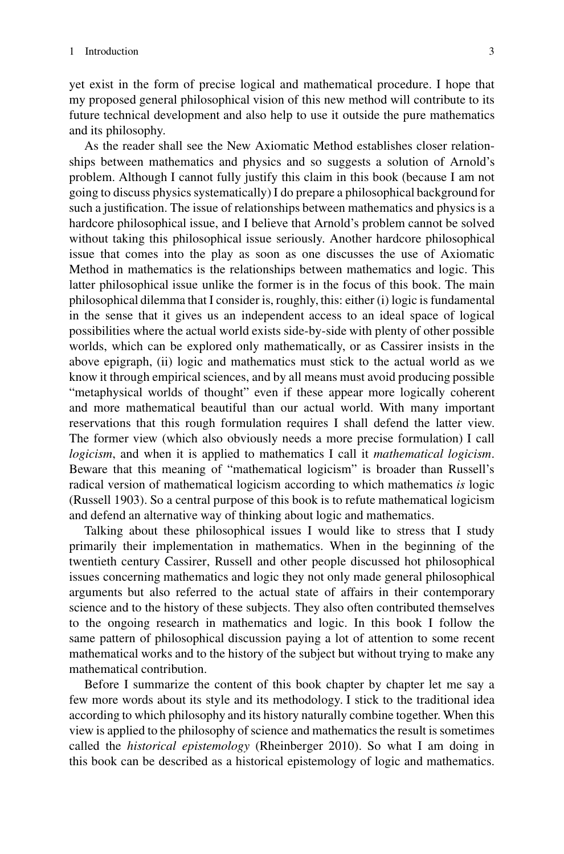yet exist in the form of precise logical and mathematical procedure. I hope that my proposed general philosophical vision of this new method will contribute to its future technical development and also help to use it outside the pure mathematics and its philosophy.

As the reader shall see the New Axiomatic Method establishes closer relationships between mathematics and physics and so suggests a solution of Arnold's problem. Although I cannot fully justify this claim in this book (because I am not going to discuss physics systematically) I do prepare a philosophical background for such a justification. The issue of relationships between mathematics and physics is a hardcore philosophical issue, and I believe that Arnold's problem cannot be solved without taking this philosophical issue seriously. Another hardcore philosophical issue that comes into the play as soon as one discusses the use of Axiomatic Method in mathematics is the relationships between mathematics and logic. This latter philosophical issue unlike the former is in the focus of this book. The main philosophical dilemma that I consider is, roughly, this: either (i) logic is fundamental in the sense that it gives us an independent access to an ideal space of logical possibilities where the actual world exists side-by-side with plenty of other possible worlds, which can be explored only mathematically, or as Cassirer insists in the above epigraph, (ii) logic and mathematics must stick to the actual world as we know it through empirical sciences, and by all means must avoid producing possible "metaphysical worlds of thought" even if these appear more logically coherent and more mathematical beautiful than our actual world. With many important reservations that this rough formulation requires I shall defend the latter view. The former view (which also obviously needs a more precise formulation) I call *logicism*, and when it is applied to mathematics I call it *mathematical logicism*. Beware that this meaning of "mathematical logicism" is broader than Russell's radical version of mathematical logicism according to which mathematics *is* logic (Russell 1903). So a central purpose of this book is to refute mathematical logicism and defend an alternative way of thinking about logic and mathematics.

Talking about these philosophical issues I would like to stress that I study primarily their implementation in mathematics. When in the beginning of the twentieth century Cassirer, Russell and other people discussed hot philosophical issues concerning mathematics and logic they not only made general philosophical arguments but also referred to the actual state of affairs in their contemporary science and to the history of these subjects. They also often contributed themselves to the ongoing research in mathematics and logic. In this book I follow the same pattern of philosophical discussion paying a lot of attention to some recent mathematical works and to the history of the subject but without trying to make any mathematical contribution.

Before I summarize the content of this book chapter by chapter let me say a few more words about its style and its methodology. I stick to the traditional idea according to which philosophy and its history naturally combine together. When this view is applied to the philosophy of science and mathematics the result is sometimes called the *historical epistemology* (Rheinberger 2010). So what I am doing in this book can be described as a historical epistemology of logic and mathematics.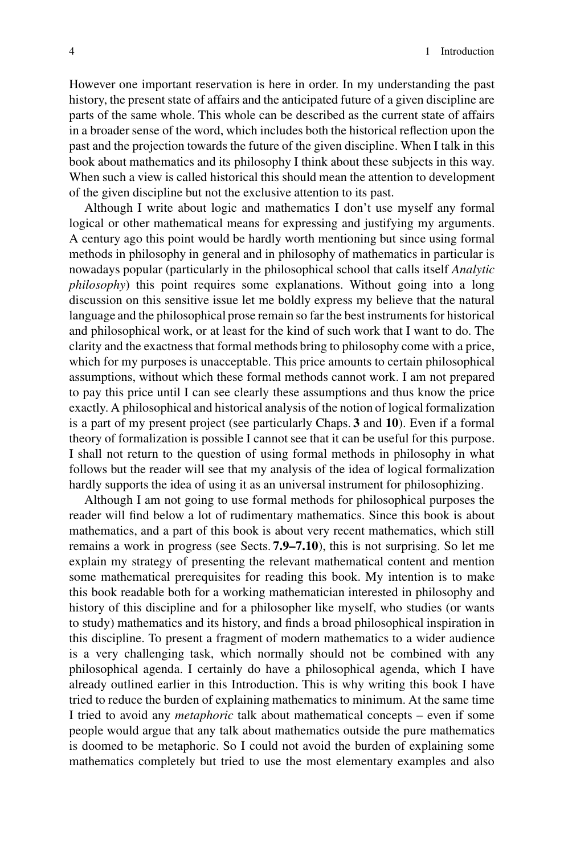However one important reservation is here in order. In my understanding the past history, the present state of affairs and the anticipated future of a given discipline are parts of the same whole. This whole can be described as the current state of affairs in a broader sense of the word, which includes both the historical reflection upon the past and the projection towards the future of the given discipline. When I talk in this book about mathematics and its philosophy I think about these subjects in this way. When such a view is called historical this should mean the attention to development of the given discipline but not the exclusive attention to its past.

Although I write about logic and mathematics I don't use myself any formal logical or other mathematical means for expressing and justifying my arguments. A century ago this point would be hardly worth mentioning but since using formal methods in philosophy in general and in philosophy of mathematics in particular is nowadays popular (particularly in the philosophical school that calls itself *Analytic philosophy*) this point requires some explanations. Without going into a long discussion on this sensitive issue let me boldly express my believe that the natural language and the philosophical prose remain so far the best instruments for historical and philosophical work, or at least for the kind of such work that I want to do. The clarity and the exactness that formal methods bring to philosophy come with a price, which for my purposes is unacceptable. This price amounts to certain philosophical assumptions, without which these formal methods cannot work. I am not prepared to pay this price until I can see clearly these assumptions and thus know the price exactly. A philosophical and historical analysis of the notion of logical formalization is a part of my present project (see particularly Chaps. **3** and **10**). Even if a formal theory of formalization is possible I cannot see that it can be useful for this purpose. I shall not return to the question of using formal methods in philosophy in what follows but the reader will see that my analysis of the idea of logical formalization hardly supports the idea of using it as an universal instrument for philosophizing.

Although I am not going to use formal methods for philosophical purposes the reader will find below a lot of rudimentary mathematics. Since this book is about mathematics, and a part of this book is about very recent mathematics, which still remains a work in progress (see Sects. **7.9–7.10**), this is not surprising. So let me explain my strategy of presenting the relevant mathematical content and mention some mathematical prerequisites for reading this book. My intention is to make this book readable both for a working mathematician interested in philosophy and history of this discipline and for a philosopher like myself, who studies (or wants to study) mathematics and its history, and finds a broad philosophical inspiration in this discipline. To present a fragment of modern mathematics to a wider audience is a very challenging task, which normally should not be combined with any philosophical agenda. I certainly do have a philosophical agenda, which I have already outlined earlier in this Introduction. This is why writing this book I have tried to reduce the burden of explaining mathematics to minimum. At the same time I tried to avoid any *metaphoric* talk about mathematical concepts – even if some people would argue that any talk about mathematics outside the pure mathematics is doomed to be metaphoric. So I could not avoid the burden of explaining some mathematics completely but tried to use the most elementary examples and also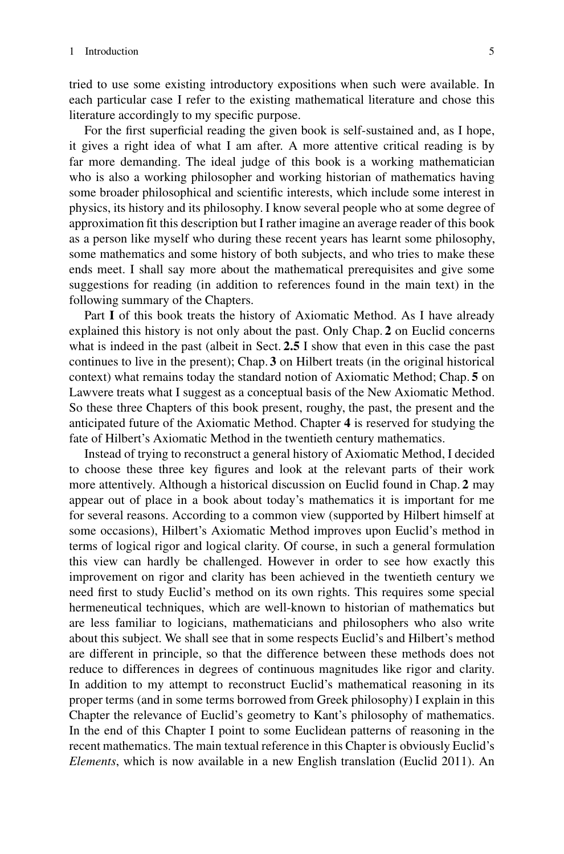tried to use some existing introductory expositions when such were available. In each particular case I refer to the existing mathematical literature and chose this literature accordingly to my specific purpose.

For the first superficial reading the given book is self-sustained and, as I hope, it gives a right idea of what I am after. A more attentive critical reading is by far more demanding. The ideal judge of this book is a working mathematician who is also a working philosopher and working historian of mathematics having some broader philosophical and scientific interests, which include some interest in physics, its history and its philosophy. I know several people who at some degree of approximation fit this description but I rather imagine an average reader of this book as a person like myself who during these recent years has learnt some philosophy, some mathematics and some history of both subjects, and who tries to make these ends meet. I shall say more about the mathematical prerequisites and give some suggestions for reading (in addition to references found in the main text) in the following summary of the Chapters.

Part I of this book treats the history of Axiomatic Method. As I have already explained this history is not only about the past. Only Chap. **2** on Euclid concerns what is indeed in the past (albeit in Sect. **2.5** I show that even in this case the past continues to live in the present); Chap. **3** on Hilbert treats (in the original historical context) what remains today the standard notion of Axiomatic Method; Chap. **5** on Lawvere treats what I suggest as a conceptual basis of the New Axiomatic Method. So these three Chapters of this book present, roughy, the past, the present and the anticipated future of the Axiomatic Method. Chapter **4** is reserved for studying the fate of Hilbert's Axiomatic Method in the twentieth century mathematics.

Instead of trying to reconstruct a general history of Axiomatic Method, I decided to choose these three key figures and look at the relevant parts of their work more attentively. Although a historical discussion on Euclid found in Chap. **2** may appear out of place in a book about today's mathematics it is important for me for several reasons. According to a common view (supported by Hilbert himself at some occasions), Hilbert's Axiomatic Method improves upon Euclid's method in terms of logical rigor and logical clarity. Of course, in such a general formulation this view can hardly be challenged. However in order to see how exactly this improvement on rigor and clarity has been achieved in the twentieth century we need first to study Euclid's method on its own rights. This requires some special hermeneutical techniques, which are well-known to historian of mathematics but are less familiar to logicians, mathematicians and philosophers who also write about this subject. We shall see that in some respects Euclid's and Hilbert's method are different in principle, so that the difference between these methods does not reduce to differences in degrees of continuous magnitudes like rigor and clarity. In addition to my attempt to reconstruct Euclid's mathematical reasoning in its proper terms (and in some terms borrowed from Greek philosophy) I explain in this Chapter the relevance of Euclid's geometry to Kant's philosophy of mathematics. In the end of this Chapter I point to some Euclidean patterns of reasoning in the recent mathematics. The main textual reference in this Chapter is obviously Euclid's *Elements*, which is now available in a new English translation (Euclid 2011). An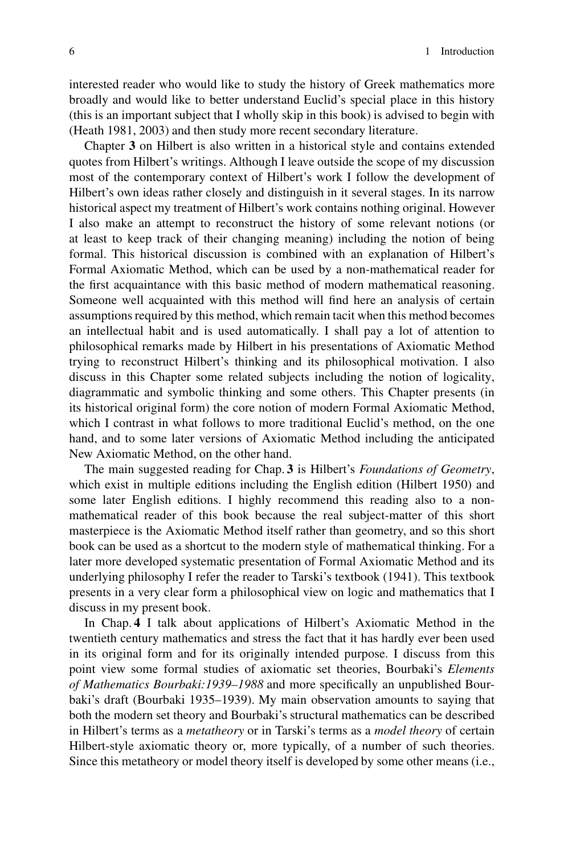interested reader who would like to study the history of Greek mathematics more broadly and would like to better understand Euclid's special place in this history (this is an important subject that I wholly skip in this book) is advised to begin with (Heath 1981, 2003) and then study more recent secondary literature.

Chapter **3** on Hilbert is also written in a historical style and contains extended quotes from Hilbert's writings. Although I leave outside the scope of my discussion most of the contemporary context of Hilbert's work I follow the development of Hilbert's own ideas rather closely and distinguish in it several stages. In its narrow historical aspect my treatment of Hilbert's work contains nothing original. However I also make an attempt to reconstruct the history of some relevant notions (or at least to keep track of their changing meaning) including the notion of being formal. This historical discussion is combined with an explanation of Hilbert's Formal Axiomatic Method, which can be used by a non-mathematical reader for the first acquaintance with this basic method of modern mathematical reasoning. Someone well acquainted with this method will find here an analysis of certain assumptions required by this method, which remain tacit when this method becomes an intellectual habit and is used automatically. I shall pay a lot of attention to philosophical remarks made by Hilbert in his presentations of Axiomatic Method trying to reconstruct Hilbert's thinking and its philosophical motivation. I also discuss in this Chapter some related subjects including the notion of logicality, diagrammatic and symbolic thinking and some others. This Chapter presents (in its historical original form) the core notion of modern Formal Axiomatic Method, which I contrast in what follows to more traditional Euclid's method, on the one hand, and to some later versions of Axiomatic Method including the anticipated New Axiomatic Method, on the other hand.

The main suggested reading for Chap. **3** is Hilbert's *Foundations of Geometry*, which exist in multiple editions including the English edition (Hilbert 1950) and some later English editions. I highly recommend this reading also to a nonmathematical reader of this book because the real subject-matter of this short masterpiece is the Axiomatic Method itself rather than geometry, and so this short book can be used as a shortcut to the modern style of mathematical thinking. For a later more developed systematic presentation of Formal Axiomatic Method and its underlying philosophy I refer the reader to Tarski's textbook (1941). This textbook presents in a very clear form a philosophical view on logic and mathematics that I discuss in my present book.

In Chap. **4** I talk about applications of Hilbert's Axiomatic Method in the twentieth century mathematics and stress the fact that it has hardly ever been used in its original form and for its originally intended purpose. I discuss from this point view some formal studies of axiomatic set theories, Bourbaki's *Elements of Mathematics Bourbaki:1939–1988* and more specifically an unpublished Bourbaki's draft (Bourbaki 1935–1939). My main observation amounts to saying that both the modern set theory and Bourbaki's structural mathematics can be described in Hilbert's terms as a *metatheory* or in Tarski's terms as a *model theory* of certain Hilbert-style axiomatic theory or, more typically, of a number of such theories. Since this metatheory or model theory itself is developed by some other means (i.e.,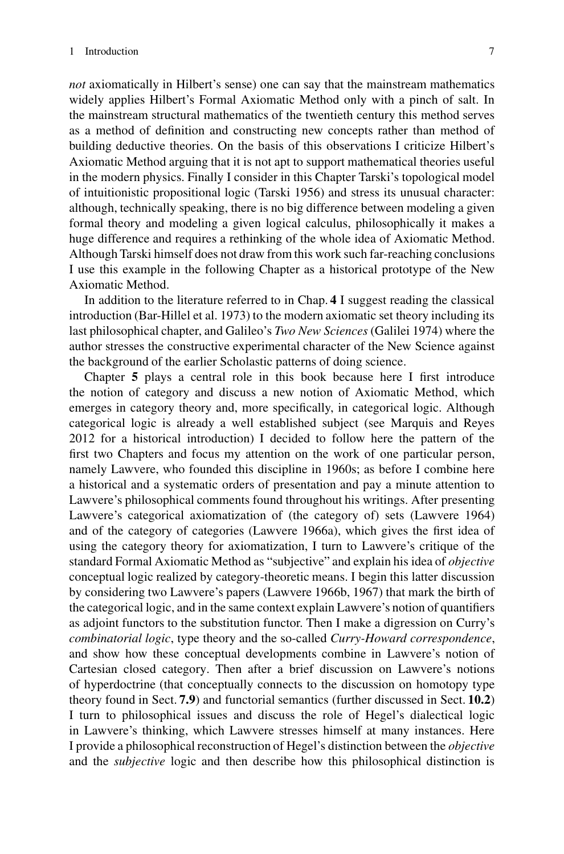*not* axiomatically in Hilbert's sense) one can say that the mainstream mathematics widely applies Hilbert's Formal Axiomatic Method only with a pinch of salt. In the mainstream structural mathematics of the twentieth century this method serves as a method of definition and constructing new concepts rather than method of building deductive theories. On the basis of this observations I criticize Hilbert's Axiomatic Method arguing that it is not apt to support mathematical theories useful in the modern physics. Finally I consider in this Chapter Tarski's topological model of intuitionistic propositional logic (Tarski 1956) and stress its unusual character: although, technically speaking, there is no big difference between modeling a given formal theory and modeling a given logical calculus, philosophically it makes a huge difference and requires a rethinking of the whole idea of Axiomatic Method. Although Tarski himself does not draw from this work such far-reaching conclusions I use this example in the following Chapter as a historical prototype of the New Axiomatic Method.

In addition to the literature referred to in Chap. **4** I suggest reading the classical introduction (Bar-Hillel et al. 1973) to the modern axiomatic set theory including its last philosophical chapter, and Galileo's *Two New Sciences* (Galilei 1974) where the author stresses the constructive experimental character of the New Science against the background of the earlier Scholastic patterns of doing science.

Chapter **5** plays a central role in this book because here I first introduce the notion of category and discuss a new notion of Axiomatic Method, which emerges in category theory and, more specifically, in categorical logic. Although categorical logic is already a well established subject (see Marquis and Reyes 2012 for a historical introduction) I decided to follow here the pattern of the first two Chapters and focus my attention on the work of one particular person, namely Lawvere, who founded this discipline in 1960s; as before I combine here a historical and a systematic orders of presentation and pay a minute attention to Lawvere's philosophical comments found throughout his writings. After presenting Lawvere's categorical axiomatization of (the category of) sets (Lawvere 1964) and of the category of categories (Lawvere 1966a), which gives the first idea of using the category theory for axiomatization, I turn to Lawvere's critique of the standard Formal Axiomatic Method as "subjective" and explain his idea of *objective* conceptual logic realized by category-theoretic means. I begin this latter discussion by considering two Lawvere's papers (Lawvere 1966b, 1967) that mark the birth of the categorical logic, and in the same context explain Lawvere's notion of quantifiers as adjoint functors to the substitution functor. Then I make a digression on Curry's *combinatorial logic*, type theory and the so-called *Curry-Howard correspondence*, and show how these conceptual developments combine in Lawvere's notion of Cartesian closed category. Then after a brief discussion on Lawvere's notions of hyperdoctrine (that conceptually connects to the discussion on homotopy type theory found in Sect. **7.9**) and functorial semantics (further discussed in Sect. **10.2**) I turn to philosophical issues and discuss the role of Hegel's dialectical logic in Lawvere's thinking, which Lawvere stresses himself at many instances. Here I provide a philosophical reconstruction of Hegel's distinction between the *objective* and the *subjective* logic and then describe how this philosophical distinction is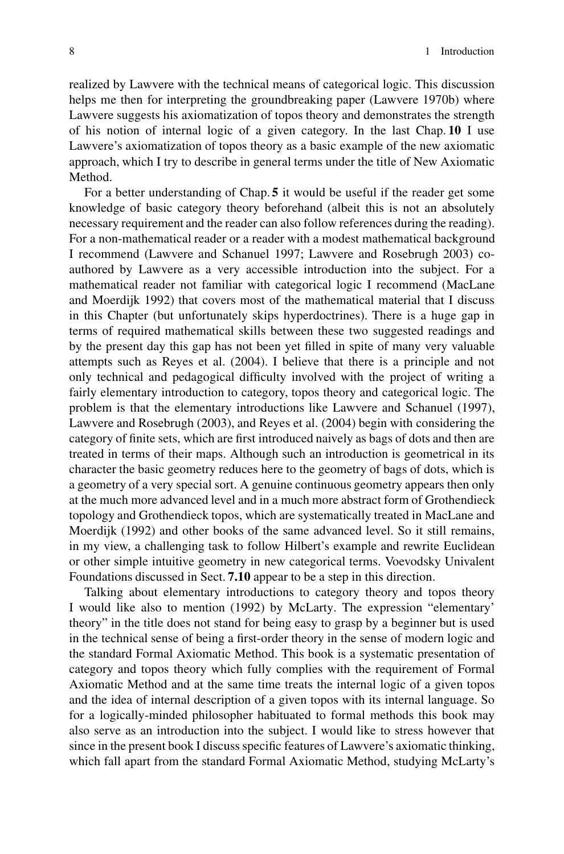realized by Lawvere with the technical means of categorical logic. This discussion helps me then for interpreting the groundbreaking paper (Lawvere 1970b) where Lawvere suggests his axiomatization of topos theory and demonstrates the strength of his notion of internal logic of a given category. In the last Chap. **10** I use Lawvere's axiomatization of topos theory as a basic example of the new axiomatic approach, which I try to describe in general terms under the title of New Axiomatic Method.

For a better understanding of Chap. **5** it would be useful if the reader get some knowledge of basic category theory beforehand (albeit this is not an absolutely necessary requirement and the reader can also follow references during the reading). For a non-mathematical reader or a reader with a modest mathematical background I recommend (Lawvere and Schanuel 1997; Lawvere and Rosebrugh 2003) coauthored by Lawvere as a very accessible introduction into the subject. For a mathematical reader not familiar with categorical logic I recommend (MacLane and Moerdijk 1992) that covers most of the mathematical material that I discuss in this Chapter (but unfortunately skips hyperdoctrines). There is a huge gap in terms of required mathematical skills between these two suggested readings and by the present day this gap has not been yet filled in spite of many very valuable attempts such as Reyes et al. (2004). I believe that there is a principle and not only technical and pedagogical difficulty involved with the project of writing a fairly elementary introduction to category, topos theory and categorical logic. The problem is that the elementary introductions like Lawvere and Schanuel (1997), Lawvere and Rosebrugh (2003), and Reyes et al. (2004) begin with considering the category of finite sets, which are first introduced naively as bags of dots and then are treated in terms of their maps. Although such an introduction is geometrical in its character the basic geometry reduces here to the geometry of bags of dots, which is a geometry of a very special sort. A genuine continuous geometry appears then only at the much more advanced level and in a much more abstract form of Grothendieck topology and Grothendieck topos, which are systematically treated in MacLane and Moerdijk (1992) and other books of the same advanced level. So it still remains, in my view, a challenging task to follow Hilbert's example and rewrite Euclidean or other simple intuitive geometry in new categorical terms. Voevodsky Univalent Foundations discussed in Sect. **7.10** appear to be a step in this direction.

Talking about elementary introductions to category theory and topos theory I would like also to mention (1992) by McLarty. The expression "elementary' theory" in the title does not stand for being easy to grasp by a beginner but is used in the technical sense of being a first-order theory in the sense of modern logic and the standard Formal Axiomatic Method. This book is a systematic presentation of category and topos theory which fully complies with the requirement of Formal Axiomatic Method and at the same time treats the internal logic of a given topos and the idea of internal description of a given topos with its internal language. So for a logically-minded philosopher habituated to formal methods this book may also serve as an introduction into the subject. I would like to stress however that since in the present book I discuss specific features of Lawvere's axiomatic thinking, which fall apart from the standard Formal Axiomatic Method, studying McLarty's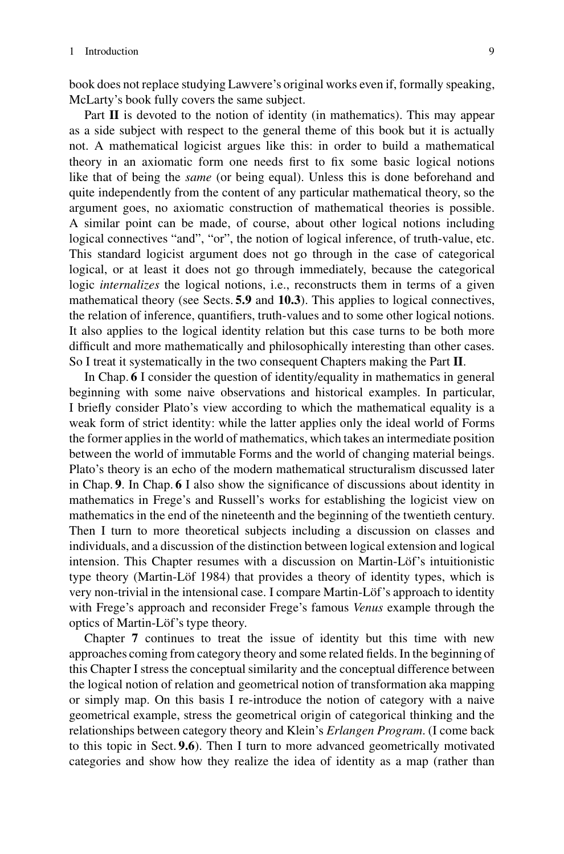book does not replace studying Lawvere's original works even if, formally speaking, McLarty's book fully covers the same subject.

Part **II** is devoted to the notion of identity (in mathematics). This may appear as a side subject with respect to the general theme of this book but it is actually not. A mathematical logicist argues like this: in order to build a mathematical theory in an axiomatic form one needs first to fix some basic logical notions like that of being the *same* (or being equal). Unless this is done beforehand and quite independently from the content of any particular mathematical theory, so the argument goes, no axiomatic construction of mathematical theories is possible. A similar point can be made, of course, about other logical notions including logical connectives "and", "or", the notion of logical inference, of truth-value, etc. This standard logicist argument does not go through in the case of categorical logical, or at least it does not go through immediately, because the categorical logic *internalizes* the logical notions, i.e., reconstructs them in terms of a given mathematical theory (see Sects. **5.9** and **10.3**). This applies to logical connectives, the relation of inference, quantifiers, truth-values and to some other logical notions. It also applies to the logical identity relation but this case turns to be both more difficult and more mathematically and philosophically interesting than other cases. So I treat it systematically in the two consequent Chapters making the Part **II**.

In Chap. **6** I consider the question of identity/equality in mathematics in general beginning with some naive observations and historical examples. In particular, I briefly consider Plato's view according to which the mathematical equality is a weak form of strict identity: while the latter applies only the ideal world of Forms the former applies in the world of mathematics, which takes an intermediate position between the world of immutable Forms and the world of changing material beings. Plato's theory is an echo of the modern mathematical structuralism discussed later in Chap. **9**. In Chap. **6** I also show the significance of discussions about identity in mathematics in Frege's and Russell's works for establishing the logicist view on mathematics in the end of the nineteenth and the beginning of the twentieth century. Then I turn to more theoretical subjects including a discussion on classes and individuals, and a discussion of the distinction between logical extension and logical intension. This Chapter resumes with a discussion on Martin-Löf's intuitionistic type theory (Martin-Löf 1984) that provides a theory of identity types, which is very non-trivial in the intensional case. I compare Martin-Löf's approach to identity with Frege's approach and reconsider Frege's famous *Venus* example through the optics of Martin-Löf's type theory.

Chapter **7** continues to treat the issue of identity but this time with new approaches coming from category theory and some related fields. In the beginning of this Chapter I stress the conceptual similarity and the conceptual difference between the logical notion of relation and geometrical notion of transformation aka mapping or simply map. On this basis I re-introduce the notion of category with a naive geometrical example, stress the geometrical origin of categorical thinking and the relationships between category theory and Klein's *Erlangen Program*. (I come back to this topic in Sect. **9.6**). Then I turn to more advanced geometrically motivated categories and show how they realize the idea of identity as a map (rather than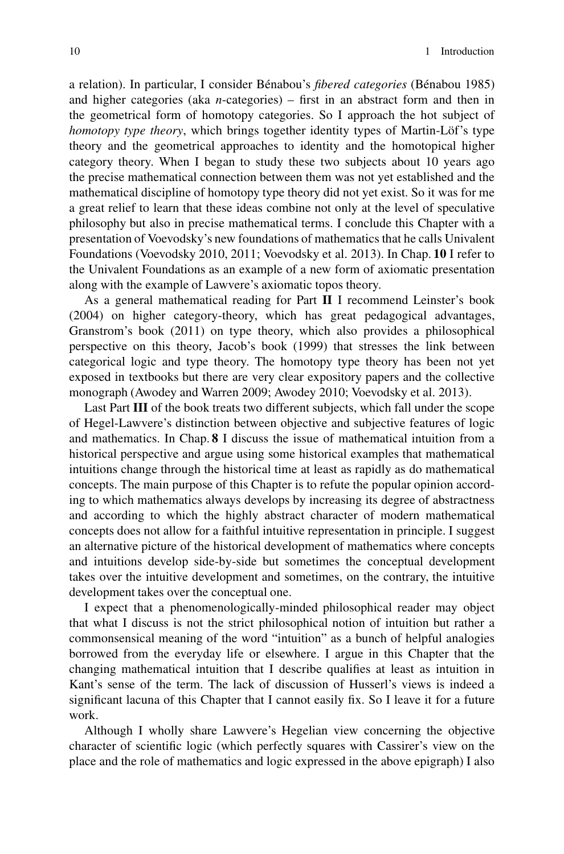a relation). In particular, I consider Bénabou's *fibered categories* (Bénabou 1985) and higher categories (aka *n*-categories) – first in an abstract form and then in the geometrical form of homotopy categories. So I approach the hot subject of *homotopy type theory*, which brings together identity types of Martin-Löf's type theory and the geometrical approaches to identity and the homotopical higher category theory. When I began to study these two subjects about 10 years ago the precise mathematical connection between them was not yet established and the mathematical discipline of homotopy type theory did not yet exist. So it was for me a great relief to learn that these ideas combine not only at the level of speculative philosophy but also in precise mathematical terms. I conclude this Chapter with a presentation of Voevodsky's new foundations of mathematics that he calls Univalent Foundations (Voevodsky 2010, 2011; Voevodsky et al. 2013). In Chap. **10** I refer to the Univalent Foundations as an example of a new form of axiomatic presentation along with the example of Lawvere's axiomatic topos theory.

As a general mathematical reading for Part **II** I recommend Leinster's book (2004) on higher category-theory, which has great pedagogical advantages, Granstrom's book (2011) on type theory, which also provides a philosophical perspective on this theory, Jacob's book (1999) that stresses the link between categorical logic and type theory. The homotopy type theory has been not yet exposed in textbooks but there are very clear expository papers and the collective monograph (Awodey and Warren 2009; Awodey 2010; Voevodsky et al. 2013).

Last Part **III** of the book treats two different subjects, which fall under the scope of Hegel-Lawvere's distinction between objective and subjective features of logic and mathematics. In Chap. **8** I discuss the issue of mathematical intuition from a historical perspective and argue using some historical examples that mathematical intuitions change through the historical time at least as rapidly as do mathematical concepts. The main purpose of this Chapter is to refute the popular opinion according to which mathematics always develops by increasing its degree of abstractness and according to which the highly abstract character of modern mathematical concepts does not allow for a faithful intuitive representation in principle. I suggest an alternative picture of the historical development of mathematics where concepts and intuitions develop side-by-side but sometimes the conceptual development takes over the intuitive development and sometimes, on the contrary, the intuitive development takes over the conceptual one.

I expect that a phenomenologically-minded philosophical reader may object that what I discuss is not the strict philosophical notion of intuition but rather a commonsensical meaning of the word "intuition" as a bunch of helpful analogies borrowed from the everyday life or elsewhere. I argue in this Chapter that the changing mathematical intuition that I describe qualifies at least as intuition in Kant's sense of the term. The lack of discussion of Husserl's views is indeed a significant lacuna of this Chapter that I cannot easily fix. So I leave it for a future work.

Although I wholly share Lawvere's Hegelian view concerning the objective character of scientific logic (which perfectly squares with Cassirer's view on the place and the role of mathematics and logic expressed in the above epigraph) I also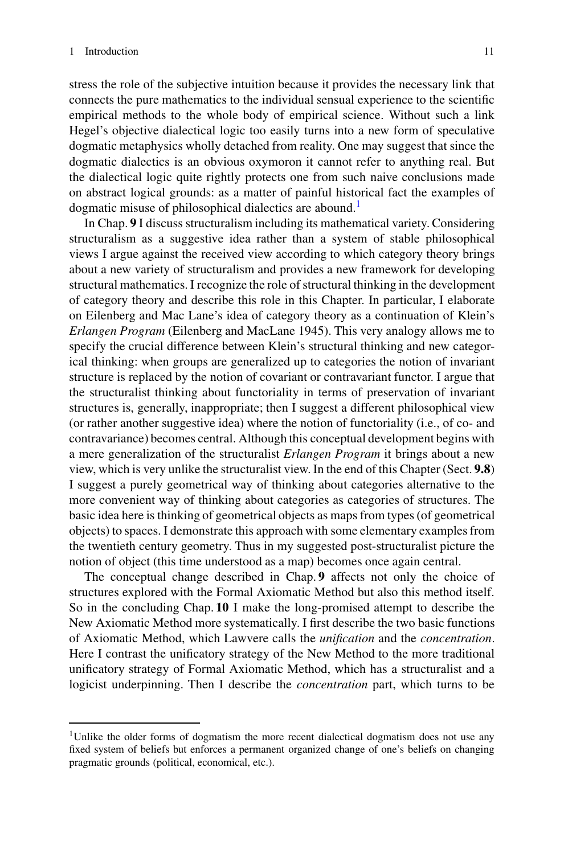stress the role of the subjective intuition because it provides the necessary link that connects the pure mathematics to the individual sensual experience to the scientific empirical methods to the whole body of empirical science. Without such a link Hegel's objective dialectical logic too easily turns into a new form of speculative dogmatic metaphysics wholly detached from reality. One may suggest that since the dogmatic dialectics is an obvious oxymoron it cannot refer to anything real. But the dialectical logic quite rightly protects one from such naive conclusions made on abstract logical grounds: as a matter of painful historical fact the examples of dogmatic misuse of philosophical dialectics are abound.<sup>[1](#page-10-0)</sup>

In Chap. **9** I discuss structuralism including its mathematical variety. Considering structuralism as a suggestive idea rather than a system of stable philosophical views I argue against the received view according to which category theory brings about a new variety of structuralism and provides a new framework for developing structural mathematics. I recognize the role of structural thinking in the development of category theory and describe this role in this Chapter. In particular, I elaborate on Eilenberg and Mac Lane's idea of category theory as a continuation of Klein's *Erlangen Program* (Eilenberg and MacLane 1945). This very analogy allows me to specify the crucial difference between Klein's structural thinking and new categorical thinking: when groups are generalized up to categories the notion of invariant structure is replaced by the notion of covariant or contravariant functor. I argue that the structuralist thinking about functoriality in terms of preservation of invariant structures is, generally, inappropriate; then I suggest a different philosophical view (or rather another suggestive idea) where the notion of functoriality (i.e., of co- and contravariance) becomes central. Although this conceptual development begins with a mere generalization of the structuralist *Erlangen Program* it brings about a new view, which is very unlike the structuralist view. In the end of this Chapter (Sect. **9.8**) I suggest a purely geometrical way of thinking about categories alternative to the more convenient way of thinking about categories as categories of structures. The basic idea here is thinking of geometrical objects as maps from types (of geometrical objects) to spaces. I demonstrate this approach with some elementary examples from the twentieth century geometry. Thus in my suggested post-structuralist picture the notion of object (this time understood as a map) becomes once again central.

The conceptual change described in Chap. **9** affects not only the choice of structures explored with the Formal Axiomatic Method but also this method itself. So in the concluding Chap. **10** I make the long-promised attempt to describe the New Axiomatic Method more systematically. I first describe the two basic functions of Axiomatic Method, which Lawvere calls the *unification* and the *concentration*. Here I contrast the unificatory strategy of the New Method to the more traditional unificatory strategy of Formal Axiomatic Method, which has a structuralist and a logicist underpinning. Then I describe the *concentration* part, which turns to be

<span id="page-10-0"></span><sup>&</sup>lt;sup>1</sup>Unlike the older forms of dogmatism the more recent dialectical dogmatism does not use any fixed system of beliefs but enforces a permanent organized change of one's beliefs on changing pragmatic grounds (political, economical, etc.).